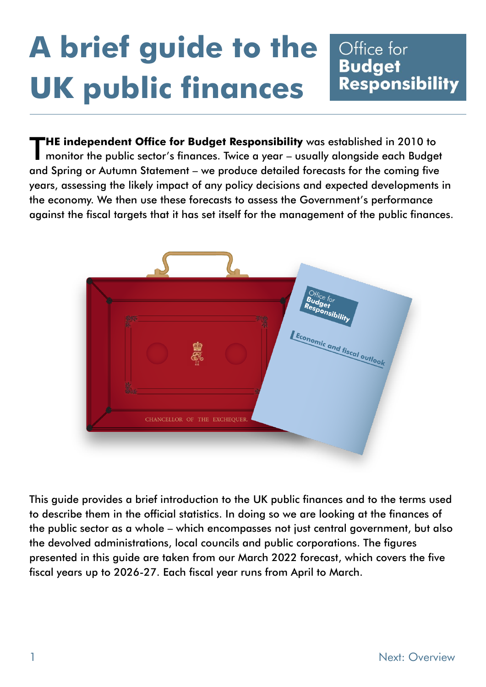# **A brief guide to the UK public finances**

### Office for **Budget** Responsibility

**HE independent Office for Budget Responsibility** was established in 2010 to monitor the public sector's finances. Twice a year – usually alongside each Budget and Spring or Autumn Statement – we produce detailed forecasts for the coming five years, assessing the likely impact of any policy decisions and expected developments in the economy. We then use these forecasts to assess the Government's performance against the fiscal targets that it has set itself for the management of the public finances. T



This guide provides a brief introduction to the UK public finances and to the terms used to describe them in the official statistics. In doing so we are looking at the finances of the public sector as a whole – which encompasses not just central government, but also the devolved administrations, local councils and public corporations. The figures presented in this guide are taken from our March 2022 forecast, which covers the five fiscal years up to 2026-27. Each fiscal year runs from April to March.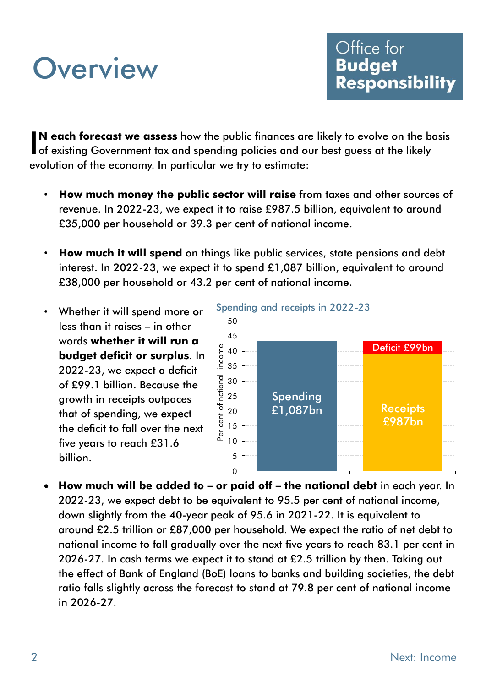### **Overview**

**N each forecast we assess** how the public finances are likely to evolve on the basis IN each forecast we assess how the public finances are likely to evolve on the bead of existing Government tax and spending policies and our best guess at the likely evolution of the economy. In particular we try to estimate:

- **How much money the public sector will raise** from taxes and other sources of revenue. In 2022-23, we expect it to raise £987.5 billion, equivalent to around £35,000 per household or 39.3 per cent of national income.
- **How much it will spend** on things like public services, state pensions and debt interest. In 2022-23, we expect it to spend £1,087 billion, equivalent to around £38,000 per household or 43.2 per cent of national income.
- Whether it will spend more or less than it raises – in other words **whether it will run a budget deficit or surplus**. In 2022-23, we expect a [deficit](http://budgetresponsibility.org.uk/brief-guide-public-finances/deficit-surplus/) of £99.1 billion. Because the growth in receipts outpaces that of spending, we expect the deficit to fall over the next five years to reach £31.6 billion.



• **How much will be added to – or paid off – the national debt** in each year. In 2022-23, we expect debt to be equivalent to 95.5 per cent of national income, down slightly from the 40-year peak of 95.6 in 2021-22. It is equivalent to around £2.5 trillion or £87,000 per household. We expect the ratio of net debt to national income to fall gradually over the next five years to reach 83.1 per cent in 2026-27. In cash terms we expect it to stand at £2.5 trillion by then. Taking out the effect of Bank of England (BoE) loans to banks and building societies, the debt ratio falls slightly across the forecast to stand at 79.8 per cent of national income in 2026-27.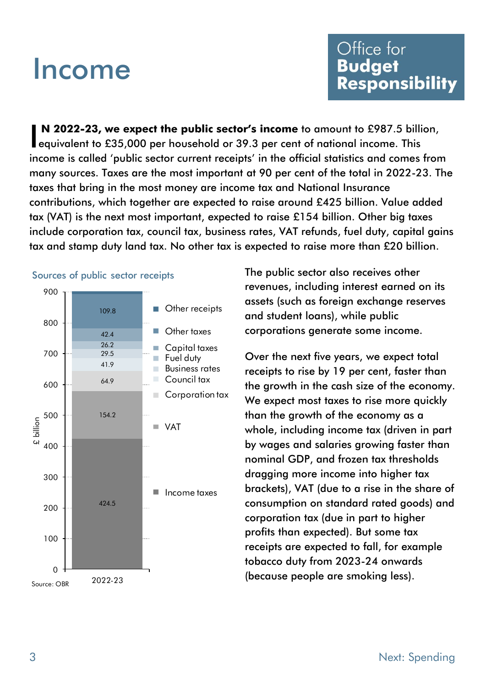### Income

**N 2022-23, we expect the public sector's income** to amount to £987.5 billion, N 2022-23, we expect the public sector's income to amount to £987.5 billi<br>equivalent to £35,000 per household or 39.3 per cent of national income. This income is called 'public sector current receipts' in the official statistics and comes from many sources. Taxes are the most important at 90 per cent of the total in 2022-23. The taxes that bring in the most money are income tax and National Insurance contributions, which together are expected to raise around £425 billion. Value added tax (VAT) is the next most important, expected to raise £154 billion. Other big taxes include corporation tax, council tax, business rates, VAT refunds, fuel duty, capital gains tax and stamp duty land tax. No other tax is expected to raise more than £20 billion.



The public sector also receives other revenues, including interest earned on its assets (such as foreign exchange reserves and student loans), while public corporations generate some income.

Over the next five years, we expect total receipts to rise by 19 per cent, faster than the growth in the cash size of the economy. We expect most taxes to rise more quickly than the growth of the economy as a whole, including income tax (driven in part by wages and salaries growing faster than nominal GDP, and frozen tax thresholds dragging more income into higher tax brackets), VAT (due to a rise in the share of consumption on standard rated goods) and corporation tax (due in part to higher profits than expected). But some tax receipts are expected to fall, for example tobacco duty from 2023-24 onwards (because people are smoking less).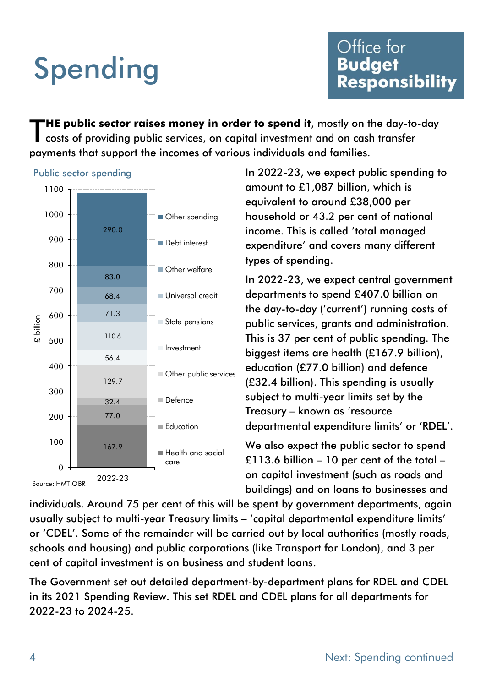# Spending

**HE public sector raises money in order to spend it**, mostly on the day-to-day costs of providing public services, on capital investment and on cash transfer payments that support the incomes of various individuals and families. T





In 2022-23, we expect public spending to amount to £1,087 billion, which is equivalent to around £38,000 per household or 43.2 per cent of national income. This is called 'total managed expenditure' and covers many different types of spending.

In 2022-23, we expect central government departments to spend £407.0 billion on the day-to-day ('current') running costs of public services, grants and administration. This is 37 per cent of public spending. The biggest items are health (£167.9 billion), education (£77.0 billion) and defence (£32.4 billion). This spending is usually subject to multi-year limits set by the Treasury – known as 'resource departmental expenditure limits' or 'RDEL'.

We also expect the public sector to spend £113.6 billion – 10 per cent of the total – on capital investment (such as roads and buildings) and on loans to businesses and

individuals. Around 75 per cent of this will be spent by government departments, again usually subject to multi-year Treasury limits – 'capital departmental expenditure limits' or 'CDEL'. Some of the remainder will be carried out by local authorities (mostly roads, schools and housing) and public corporations (like Transport for London), and 3 per cent of capital investment is on business and student loans.

The Government set out detailed department-by-department plans for RDEL and CDEL in its 2021 Spending Review. This set RDEL and CDEL plans for all departments for 2022-23 to 2024-25.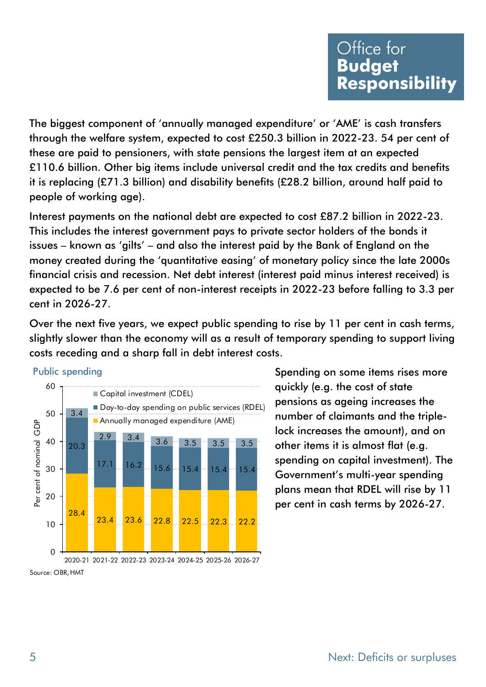The biggest component of 'annually managed expenditure' or 'AME' is cash transfers through the welfare system, expected to cost £250.3 billion in 2022-23. 54 per cent of these are paid to pensioners, with state pensions the largest item at an expected £110.6 billion. Other big items include universal credit and the tax credits and benefits it is replacing (£71.3 billion) and disability benefits (£28.2 billion, around half paid to people of working age).

Interest payments on the national debt are expected to cost £87.2 billion in 2022-23. This includes the interest government pays to private sector holders of the bonds it issues – known as 'gilts' – and also the interest paid by the Bank of England on the money created during the 'quantitative easing' of monetary policy since the late 2000s financial crisis and recession. Net debt interest (interest paid minus interest received) is expected to be 7.6 per cent of non-interest receipts in 2022-23 before falling to 3.3 per cent in 2026-27.

Over the next five years, we expect public spending to rise by 11 per cent in cash terms, slightly slower than the economy will as a result of temporary spending to support living costs receding and a sharp fall in debt interest costs.



Public spending

Spending on some items rises more quickly (e.g. the cost of state pensions as ageing increases the number of claimants and the triplelock increases the amount), and on other items it is almost flat (e.g. spending on capital investment). The Government's multi-year spending plans mean that RDEL will rise by 11 per cent in cash terms by 2026-27.

Source: OBR, HMT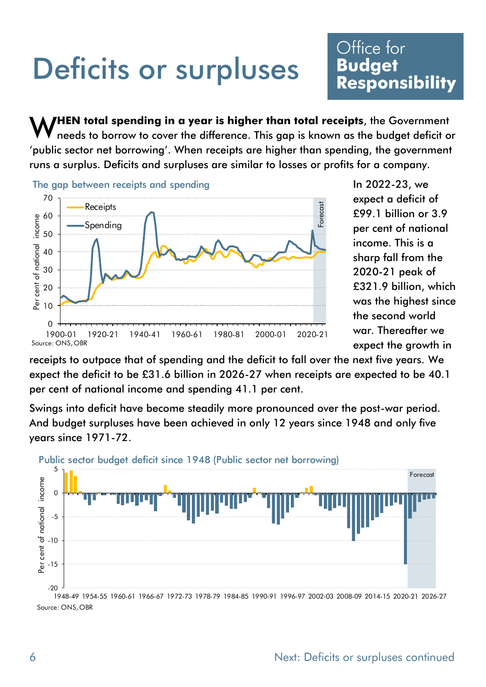### Deficits or surpluses

### Office for **Budget** Responsibility

**HEN total spending in a year is higher than total receipts**, the Government needs to borrow to cover the difference. This gap is known as the budget deficit or 'public sector net borrowing'. When receipts are higher than spending, the government runs a surplus. Deficits and surpluses are similar to losses or profits for a company. W



In 2022-23, we expect a deficit of £99.1 billion or 3.9 per cent of national income. This is a sharp fall from the 2020-21 peak of £321.9 billion, which was the highest since the second world war. Thereafter we expect the growth in

receipts to outpace that of spending and the deficit to fall over the next five years. We expect the deficit to be £31.6 billion in 2026-27 when receipts are expected to be 40.1 per cent of national income and spending 41.1 per cent.

Swings into deficit have become steadily more pronounced over the post-war period. And budget surpluses have been achieved in only 12 years since 1948 and only five years since 1971-72.



Public sector budget deficit since 1948 (Public sector net borrowing)

Source: ONS, OBR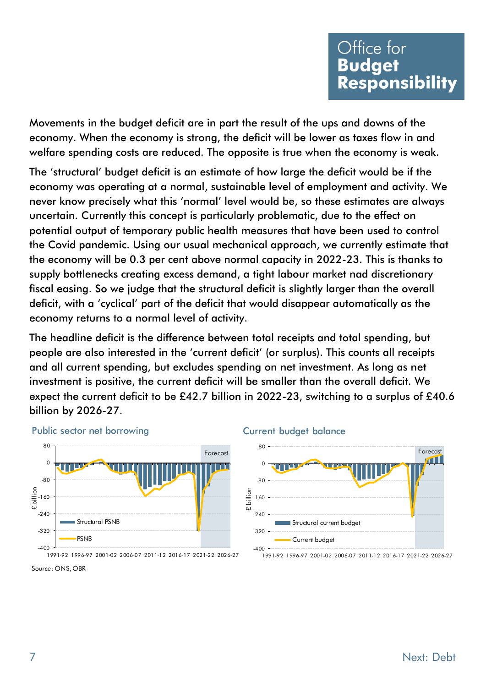Movements in the budget deficit are in part the result of the ups and downs of the economy. When the economy is strong, the deficit will be lower as taxes flow in and welfare spending costs are reduced. The opposite is true when the economy is weak.

The 'structural' budget deficit is an estimate of how large the deficit would be if the economy was operating at a normal, sustainable level of employment and activity. We never know precisely what this 'normal' level would be, so these estimates are always uncertain. Currently this concept is particularly problematic, due to the effect on potential output of temporary public health measures that have been used to control the Covid pandemic. Using our usual mechanical approach, we currently estimate that the economy will be 0.3 per cent above normal capacity in 2022-23. This is thanks to supply bottlenecks creating excess demand, a tight labour market nad discretionary fiscal easing. So we judge that the structural deficit is slightly larger than the overall deficit, with a 'cyclical' part of the deficit that would disappear automatically as the economy returns to a normal level of activity.

The headline deficit is the difference between total receipts and total spending, but people are also interested in the 'current deficit' (or surplus). This counts all receipts and all current spending, but excludes spending on net investment. As long as net investment is positive, the current deficit will be smaller than the overall deficit. We expect the current deficit to be £42.7 billion in 2022-23, switching to a surplus of £40.6 billion by 2026-27.



### Source: ONS, OBR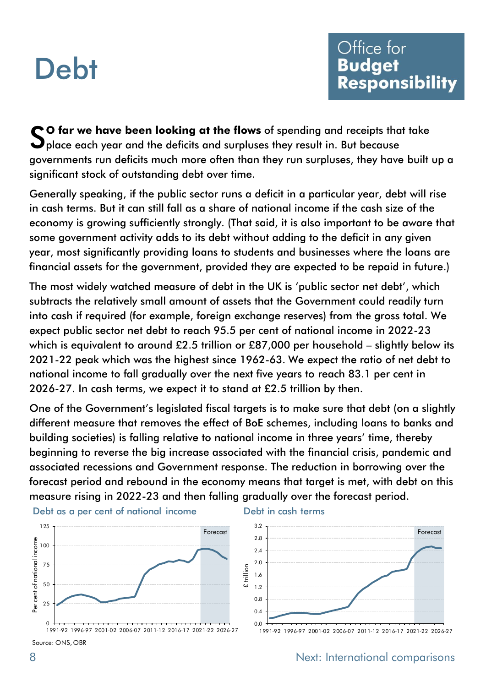### **Debt**

**O far we have been looking at the flows** of spending and receipts that take So far we have been looking at the flows of spending and receipts tha<br>Splace each year and the deficits and surpluses they result in. But because governments run deficits much more often than they run surpluses, they have built up a significant stock of outstanding debt over time.

Generally speaking, if the public sector runs a deficit in a particular year, debt will rise in cash terms. But it can still fall as a share of national income if the cash size of the economy is growing sufficiently strongly. (That said, it is also important to be aware that some government activity adds to its debt without adding to the deficit in any given year, most significantly providing loans to students and businesses where the loans are financial assets for the government, provided they are expected to be repaid in future.)

The most widely watched measure of debt in the UK is 'public sector net debt', which subtracts the relatively small amount of assets that the Government could readily turn into cash if required (for example, foreign exchange reserves) from the gross total. We expect public sector net [debt](http://budgetresponsibility.org.uk/brief-guide-public-finances/debt/) to reach 95.5 per cent of national income in 2022-23 which is equivalent to around £2.5 trillion or £87,000 per household – slightly below its 2021-22 peak which was the highest since 1962-63. We expect the ratio of net debt to national income to fall gradually over the next five years to reach 83.1 per cent in 2026-27. In cash terms, we expect it to stand at £2.5 trillion by then.

One of the Government's legislated fiscal targets is to make sure that debt (on a slightly different measure that removes the effect of BoE schemes, including loans to banks and building societies) is falling relative to national income in three years' time, thereby beginning to reverse the big increase associated with the financial crisis, pandemic and associated recessions and Government response. The reduction in borrowing over the forecast period and rebound in the economy means that target is met, with debt on this measure rising in 2022-23 and then falling gradually over the forecast period.



### Debt in cash terms



8 Next: International comparisons